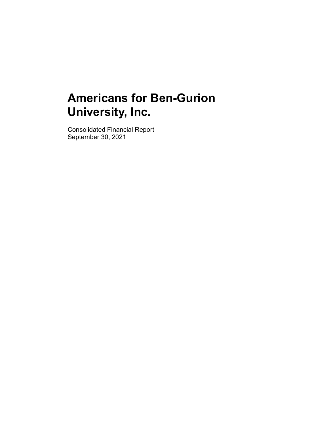Consolidated Financial Report September 30, 2021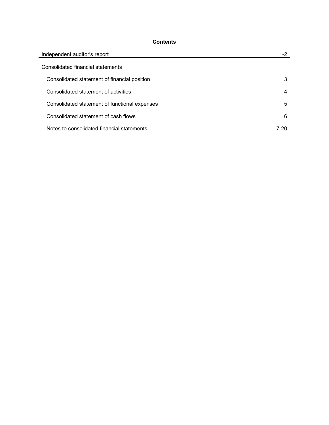# **Contents**

| <b>Contents</b>                               |                 |
|-----------------------------------------------|-----------------|
| Independent auditor's report                  | $1-2$           |
| Consolidated financial statements             |                 |
| Consolidated statement of financial position  | 3               |
| Consolidated statement of activities          | 4               |
| Consolidated statement of functional expenses | $5\phantom{.0}$ |
| Consolidated statement of cash flows          | 6               |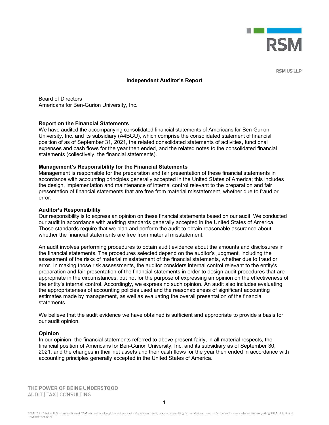

#### **Independent Auditor's Report**

Board of Directors Americans for Ben-Gurion University, Inc.

#### Report on the Financial Statements

We have audited the accompanying consolidated financial statements of Americans for Ben-Gurion University, Inc. and its subsidiary (A4BGU), which comprise the consolidated statement of financial **Provided the model of an assumption**<br> **Provided as of a statement and interval as of activities**<br> **Report on the Financial Statements**<br> **Report on the Financial Statements**<br> **Report on the Financial Statements**<br>
Universit expendient and Consolidated financial statements of Americans for Ben-Gurion<br>Americans for Ben-Gurion University, Inc.<br>
Report on the Financial Statements<br>
We have audited the accompanying consolidated financial statements **Independent Auditor's Report**<br>Board of Directors<br>Americans for Ben-Gurion University, Inc.<br>Report on the Financial Statements<br>We have audited the accompanying consolidated financial statements of Americans for<br>University,

#### Management's Responsibility for the Financial Statements

Management is responsible for the preparation and fair presentation of these financial statements in accordance with accounting principles generally accepted in the United States of America; this includes the design, implementation and maintenance of internal control relevant to the preparation and fair presentation of financial statements that are free from material misstatement, whether due to fraud or error.

#### **Auditor's Responsibility**

Our responsibility is to express an opinion on these financial statements based on our audit. We conducted our audit in accordance with auditing standards generally accepted in the United States of America. Those standards require that we plan and perform the audit to obtain reasonable assurance about whether the financial statements are free from material misstatement.

**Report on end Financial Statements** (measured financial statements of Americans for Ben-Gurion<br>We have audited the accompanying consolidated financial statements of Americans for Ben-Gurion<br>University, Inc. and its subsid the financial statements. The procedures selected depend on the auditor's judgment, including the assessment of the risks of material misstatement of the financial statements, whether due to fraud or error. In making those risk assessments, the auditor considers internal control relevant to the entity's preparation and fair presentation of the financial statements in order to design audit procedures that are appropriate in the circumstances, but not for the purpose of expressing an opinion on the effectiveness of the entity s internal control. Accordingly, we express no such opinion. An audit also includes evaluating the appropriateness of accounting policies used and the reasonableness of significant accounting **Examplement Responsibility for the Financial Statements**<br>Management's responsible for the priparation and fair presentation of these financial statements in<br>accordance with accounting principles generally accepted in the statements. <sup>211</sup> and the financial controlling Courses an opinion on these financial statements based on our audit. We conducted<br>Our responsibility is to express an opinion on these financial statements in the United States of Americ Auditor's Responsibility<br>our responsibility is to express an opinion on these financial statements based on our audit. We conducted<br>our audit in accordance with auditing standards generally accepted in the United States of Our responsibility is to express an opinion on these financial statements based on our audit. We conducted by a conducted the accordance with auditing standards generally accepted in the United States of America.<br>Those sta

We believe that the audit evidence we have obtained is sufficient and appropriate to provide a basis for our audit opinion.

#### Opinion

accounting principles generally accepted in the United States of America.

AUDIT | TAX | CONSULTING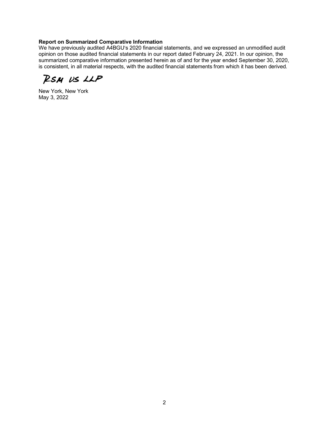### Report on Summarized Comparative Information

We have previously audited A4BGU's 2020 financial statements, and we expressed an unmodified audit opinion on those audited financial statements in our report dated February 24, 2021. In our opinion, the summarized comparative information presented herein as of and for the year ended September 30, 2020, is consistent, in all material respects, with the audited financial statements from which it has been derived.

RSM US LLP

New York, New York May 3, 2022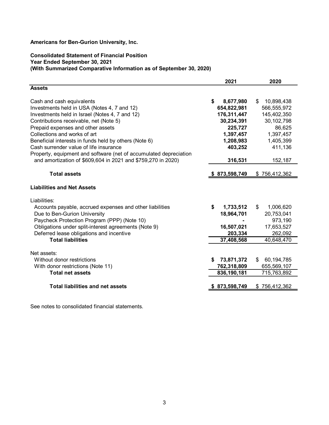## Consolidated Statement of Financial Position Year Ended September 30, 2021 (With Summarized Comparative Information as of September 30, 2020)

| Americans for Ben-Gurion University, Inc.                            |                       |                       |
|----------------------------------------------------------------------|-----------------------|-----------------------|
| <b>Consolidated Statement of Financial Position</b>                  |                       |                       |
| Year Ended September 30, 2021                                        |                       |                       |
| (With Summarized Comparative Information as of September 30, 2020)   |                       |                       |
|                                                                      | 2021                  | 2020                  |
| <b>Assets</b>                                                        |                       |                       |
| Cash and cash equivalents                                            | 8,677,980<br>S.       | 10,898,438<br>S.      |
| Investments held in USA (Notes 4, 7 and 12)                          | 654,822,981           | 566,555,972           |
| Investments held in Israel (Notes 4, 7 and 12)                       | 176,311,447           | 145,402,350           |
| Contributions receivable, net (Note 5)                               | 30,234,391            | 30, 102, 798          |
| Prepaid expenses and other assets<br>Collections and works of art    | 225,727<br>1,397,457  | 86,625<br>1,397,457   |
| Beneficial interests in funds held by others (Note 6)                | 1,208,983             | 1,405,399             |
| Cash surrender value of life insurance                               | 403,252               | 411,136               |
| Property, equipment and software (net of accumulated depreciation    |                       |                       |
| and amortization of \$609,604 in 2021 and \$759,270 in 2020)         | 316,531               | 152,187               |
| <b>Total assets</b>                                                  | 873,598,749           | \$756,412,362         |
| <b>Liabilities and Net Assets</b>                                    |                       |                       |
| Liabilities:                                                         |                       |                       |
| Accounts payable, accrued expenses and other liabilities             | 1,733,512<br>S.       | 1,006,620<br>S.       |
| Due to Ben-Gurion University                                         | 18,964,701            | 20,753,041            |
| Paycheck Protection Program (PPP) (Note 10)                          |                       | 973,190               |
| Obligations under split-interest agreements (Note 9)                 | 16,507,021            | 17,653,527            |
| Deferred lease obligations and incentive<br><b>Total liabilities</b> | 203,334<br>37,408,568 | 262,092<br>40,648,470 |
|                                                                      |                       |                       |
| Net assets:                                                          |                       |                       |
| Without donor restrictions                                           | \$73,871,372          | 60,194,785<br>S.      |
| With donor restrictions (Note 11)                                    | 762,318,809           | 655,569,107           |
| <b>Total net assets</b>                                              | 836,190,181           | 715,763,892           |
|                                                                      | \$873,598,749         | \$756,412,362         |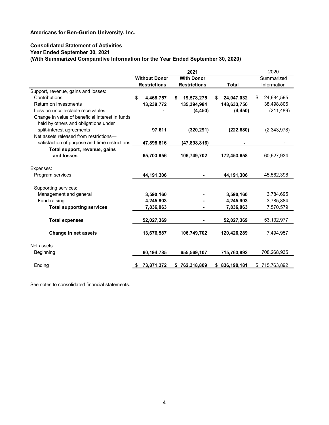## Consolidated Statement of Activities Year Ended September 30, 2021 (With Summarized Comparative Information for the Year Ended September 30, 2020)

| Americans for Ben-Gurion University, Inc.                                                                                                                       |                                             |                                          |                         |                           |
|-----------------------------------------------------------------------------------------------------------------------------------------------------------------|---------------------------------------------|------------------------------------------|-------------------------|---------------------------|
| <b>Consolidated Statement of Activities</b><br>Year Ended September 30, 2021<br>(With Summarized Comparative Information for the Year Ended September 30, 2020) |                                             |                                          |                         |                           |
|                                                                                                                                                                 |                                             | 2021                                     |                         | 2020                      |
|                                                                                                                                                                 | <b>Without Donor</b><br><b>Restrictions</b> | <b>With Donor</b><br><b>Restrictions</b> | <b>Total</b>            | Summarized<br>Information |
| Support, revenue, gains and losses:                                                                                                                             |                                             |                                          |                         |                           |
| Contributions<br>Return on investments                                                                                                                          | 4,468,757<br>S                              | 19,578,275                               | 24,047,032<br>S.        | 24,684,595<br>\$          |
| Loss on uncollectable receivables                                                                                                                               | 13,238,772                                  | 135,394,984<br>(4, 450)                  | 148,633,756<br>(4, 450) | 38,498,806<br>(211, 489)  |
| Change in value of beneficial interest in funds                                                                                                                 |                                             |                                          |                         |                           |
| held by others and obligations under                                                                                                                            |                                             |                                          |                         |                           |
| split-interest agreements                                                                                                                                       | 97,611                                      | (320, 291)                               | (222, 680)              | (2,343,978)               |
| Net assets released from restrictions-                                                                                                                          |                                             |                                          |                         |                           |
| satisfaction of purpose and time restrictions                                                                                                                   | 47,898,816                                  | (47,898,816)                             |                         |                           |
| Total support, revenue, gains                                                                                                                                   |                                             |                                          |                         |                           |
| and losses                                                                                                                                                      | 65,703,956                                  | 106,749,702                              | 172,453,658             | 60,627,934                |
| Expenses:                                                                                                                                                       |                                             |                                          |                         |                           |
| Program services                                                                                                                                                | 44,191,306                                  |                                          | 44,191,306              | 45,562,398                |
| Supporting services:                                                                                                                                            |                                             |                                          |                         |                           |
| Management and general                                                                                                                                          | 3,590,160                                   |                                          | 3,590,160               | 3,784,695                 |
| Fund-raising                                                                                                                                                    | 4,245,903                                   |                                          | 4,245,903               | 3,785,884                 |
| <b>Total supporting services</b>                                                                                                                                | 7,836,063                                   | $\blacksquare$                           | 7,836,063               | 7,570,579                 |
|                                                                                                                                                                 |                                             |                                          |                         |                           |
| <b>Total expenses</b>                                                                                                                                           | 52,027,369                                  |                                          | 52,027,369              | 53, 132, 977              |
| Change in net assets                                                                                                                                            | 13,676,587                                  | 106,749,702                              | 120,426,289             | 7,494,957                 |
| Net assets:                                                                                                                                                     |                                             |                                          |                         |                           |
| Beginning                                                                                                                                                       | 60,194,785                                  | 655,569,107                              | 715,763,892             | 708,268,935               |
| Ending                                                                                                                                                          | 73,871,372                                  | \$762,318,809                            | \$836,190,181           | \$715,763,892             |
|                                                                                                                                                                 |                                             |                                          |                         |                           |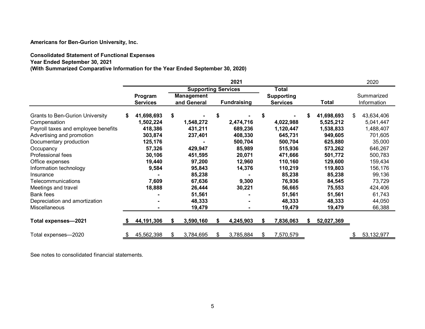# Consolidated Statement of Functional Expenses

| Americans for Ben-Gurion University, Inc.                                                                        |                            |    |                                  |                      |                                      |    |                        |                           |
|------------------------------------------------------------------------------------------------------------------|----------------------------|----|----------------------------------|----------------------|--------------------------------------|----|------------------------|---------------------------|
|                                                                                                                  |                            |    |                                  |                      |                                      |    |                        |                           |
|                                                                                                                  |                            |    |                                  |                      |                                      |    |                        |                           |
|                                                                                                                  |                            |    |                                  |                      |                                      |    |                        |                           |
| <b>Consolidated Statement of Functional Expenses</b>                                                             |                            |    |                                  |                      |                                      |    |                        |                           |
| Year Ended September 30, 2021<br>(With Summarized Comparative Information for the Year Ended September 30, 2020) |                            |    |                                  |                      |                                      |    |                        |                           |
|                                                                                                                  |                            |    |                                  | 2021                 |                                      |    |                        | 2020                      |
|                                                                                                                  |                            |    | <b>Supporting Services</b>       |                      | <b>Total</b>                         |    |                        |                           |
|                                                                                                                  | Program<br><b>Services</b> |    | <b>Management</b><br>and General | <b>Fundraising</b>   | <b>Supporting</b><br><b>Services</b> |    | <b>Total</b>           | Summarized<br>Information |
|                                                                                                                  |                            |    |                                  |                      |                                      |    |                        |                           |
| <b>Grants to Ben-Gurion University</b>                                                                           | 41,698,693                 | \$ |                                  | \$                   | \$                                   | \$ | 41,698,693             | \$<br>43,634,406          |
| Compensation<br>Payroll taxes and employee benefits                                                              | 1,502,224<br>418,386       |    | 1,548,272<br>431,211             | 2,474,716<br>689,236 | 4,022,988<br>1,120,447               |    | 5,525,212<br>1,538,833 | 5,041,447<br>1,488,407    |
| Advertising and promotion                                                                                        | 303,874                    |    | 237,401                          | 408,330              | 645,731                              |    | 949,605                | 701,605                   |
| Documentary production                                                                                           | 125,176                    |    |                                  | 500,704              | 500,704                              |    | 625,880                | 35,000                    |
| Occupancy                                                                                                        | 57,326                     |    | 429,947                          | 85,989               | 515,936                              |    | 573,262                | 646,267                   |
| Professional fees                                                                                                | 30,106                     |    | 451,595                          | 20,071               | 471,666                              |    | 501,772                | 500,783                   |
| Office expenses                                                                                                  | 19,440                     |    | 97,200                           | 12,960               | 110,160                              |    | 129,600                | 159,434                   |
| Information technology                                                                                           | 9,584                      |    | 95,843                           | 14,376               | 110,219                              |    | 119,803                | 156,176                   |
| Insurance                                                                                                        |                            |    | 85,238                           |                      | 85,238                               |    | 85,238                 | 99,136                    |
| Telecommunications                                                                                               | 7,609                      |    | 67,636                           | 9,300                | 76,936                               |    | 84,545                 | 73,729                    |
| Meetings and travel<br><b>Bank fees</b>                                                                          | 18,888                     |    | 26,444<br>51,561                 | 30,221               | 56,665<br>51,561                     |    | 75,553<br>51,561       | 424,406<br>61,743         |
| Depreciation and amortization                                                                                    |                            |    | 48,333                           |                      | 48,333                               |    | 48,333                 | 44,050                    |
| Miscellaneous                                                                                                    |                            |    | 19,479                           |                      | 19,479                               |    | 19,479                 | 66,388                    |
|                                                                                                                  | 44,191,306                 | S  | 3,590,160                        | 4,245,903            | 7,836,063                            | S  | 52,027,369             |                           |
| Total expenses-2021                                                                                              |                            |    |                                  |                      |                                      |    |                        |                           |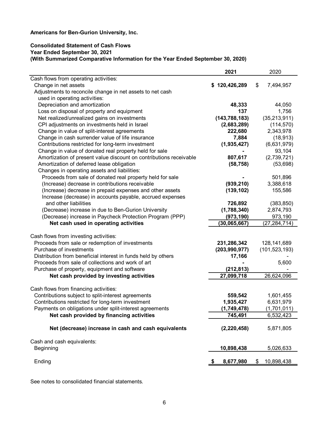## Consolidated Statement of Cash Flows Year Ended September 30, 2021 (With Summarized Comparative Information for the Year Ended September 30, 2020)

|                                                                    | 2021                   | 2020             |
|--------------------------------------------------------------------|------------------------|------------------|
| Cash flows from operating activities:                              |                        |                  |
| Change in net assets                                               | \$120,426,289          | 7,494,957<br>S   |
| Adjustments to reconcile change in net assets to net cash          |                        |                  |
| used in operating activities:                                      |                        |                  |
| Depreciation and amortization                                      | 48,333                 | 44,050           |
| Loss on disposal of property and equipment                         | 137                    | 1,756            |
| Net realized/unrealized gains on investments                       | (143, 788, 183)        | (35, 213, 911)   |
| CPI adjustments on investments held in Israel                      | (2,683,289)            | (114, 570)       |
| Change in value of split-interest agreements                       | 222,680                | 2,343,978        |
| Change in cash surrender value of life insurance                   | 7,884                  | (18, 913)        |
| Contributions restricted for long-term investment                  | (1,935,427)            | (6,631,979)      |
|                                                                    |                        |                  |
| Change in value of donated real property held for sale             |                        | 93,104           |
| Amortization of present value discount on contributions receivable | 807,617                | (2,739,721)      |
| Amortization of deferred lease obligation                          | (58, 758)              | (53, 698)        |
| Changes in operating assets and liabilities:                       |                        |                  |
| Proceeds from sale of donated real property held for sale          |                        | 501,896          |
| (Increase) decrease in contributions receivable                    | (939, 210)             | 3,388,618        |
| (Increase) decrease in prepaid expenses and other assets           | (139, 102)             | 155,586          |
| Increase (decrease) in accounts payable, accrued expenses          |                        |                  |
| and other liabilities                                              | 726,892                | (383, 850)       |
| (Decrease) increase in due to Ben-Gurion University                | (1,788,340)            | 2,874,793        |
| (Decrease) increase in Paycheck Protection Program (PPP)           | (973, 190)             | 973,190          |
| Net cash used in operating activities                              | (30,065,667)           | (27, 284, 714)   |
|                                                                    |                        |                  |
| Cash flows from investing activities:                              |                        |                  |
| Proceeds from sale or redemption of investments                    | 231,286,342            | 128, 141, 689    |
| Purchase of investments                                            | (203, 990, 977)        | (101, 523, 193)  |
| Distribution from beneficial interest in funds held by others      | 17,166                 |                  |
| Proceeds from sale of collections and work of art                  |                        | 5,600            |
| Purchase of property, equipment and software                       | (212, 813)             |                  |
| Net cash provided by investing activities                          | 27,099,718             | 26,624,096       |
|                                                                    |                        |                  |
| Cash flows from financing activities:                              |                        |                  |
| Contributions subject to split-interest agreements                 | 559,542                | 1,601,455        |
| Contributions restricted for long-term investment                  | 1,935,427              | 6,631,979        |
| Payments on obligations under split-interest agreements            |                        |                  |
|                                                                    | (1,749,478)<br>745,491 | (1,701,011)      |
| Net cash provided by financing activities                          |                        | 6,532,423        |
| Net (decrease) increase in cash and cash equivalents               | (2, 220, 458)          | 5,871,805        |
| Cash and cash equivalents:                                         |                        |                  |
|                                                                    |                        |                  |
| <b>Beginning</b>                                                   | 10,898,438             | 5,026,633        |
| Ending                                                             | 8,677,980              | 10,898,438<br>\$ |
|                                                                    |                        |                  |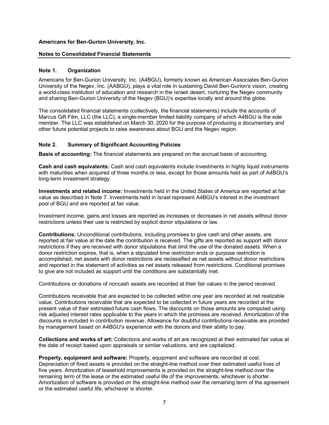### Notes to Consolidated Financial Statements

## Note 1. Organization

Americans for Ben-Gurion University, Inc. (A4BGU), formerly known as American Associates Ben-Gurion University of the Negev, Inc. (AABGU), plays a vital role in sustaining David Ben-Gurion's vision, creating a world-class institution of education and research in the Israeli desert, nurturing the Negev community and sharing Ben-Gurion University of the Negev (BGU)'s expertise locally and around the globe.

The consolidated financial statements (collectively, the financial statements) include the accounts of Marcus Gift Film, LLC (the LLC), a single-member limited liability company of which A4BGU is the sole member. The LLC was established on March 30, 2020 for the purpose of producing a documentary and other future potential projects to raise awareness about BGU and the Negev region.

## Note 2. Summary of Significant Accounting Policies

Basis of accounting: The financial statements are prepared on the accrual basis of accounting.

Cash and cash equivalents: Cash and cash equivalents include investments in highly liquid instruments with maturities when acquired of three months or less, except for those amounts held as part of A4BGU's long-term investment strategy.

Investments and related income: Investments held in the United States of America are reported at fair value as described in Note 7. Investments held in Israel represent A4BGU's interest in the investment pool of BGU and are reported at fair value.

Investment income, gains and losses are reported as increases or decreases in net assets without donor restrictions unless their use is restricted by explicit donor stipulations or law.

Contributions: Unconditional contributions, including promises to give cash and other assets, are reported at fair value at the date the contribution is received. The gifts are reported as support with donor restrictions if they are received with donor stipulations that limit the use of the donated assets. When a donor restriction expires, that is, when a stipulated time restriction ends or purpose restriction is accomplished, net assets with donor restrictions are reclassified as net assets without donor restrictions and reported in the statement of activities as net assets released from restrictions. Conditional promises to give are not included as support until the conditions are substantially met.

Contributions or donations of noncash assets are recorded at their fair values in the period received.

Contributions receivable that are expected to be collected within one year are recorded at net realizable value. Contributions receivable that are expected to be collected in future years are recorded at the present value of their estimated future cash flows. The discounts on those amounts are computed using risk adjusted interest rates applicable to the years in which the promises are received. Amortization of the discounts is included in contribution revenue. Allowance for doubtful contributions receivable are provided by management based on A4BGU's experience with the donors and their ability to pay.

Collections and works of art: Collections and works of art are recognized at their estimated fair value at the date of receipt based upon appraisals or similar valuations, and are capitalized.

Property, equipment and software: Property, equipment and software are recorded at cost. Depreciation of fixed assets is provided on the straight-line method over their estimated useful lives of five years. Amortization of leasehold improvements is provided on the straight-line method over the remaining term of the lease or the estimated useful life of the improvements, whichever is shorter. Amortization of software is provided on the straight-line method over the remaining term of the agreement or the estimated useful life, whichever is shorter.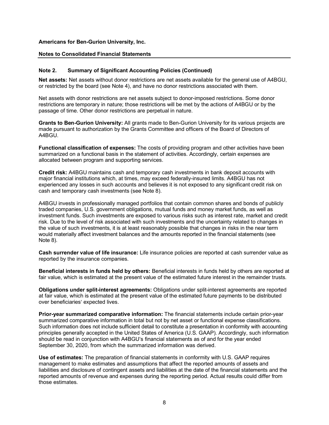#### Notes to Consolidated Financial Statements

## Note 2. Summary of Significant Accounting Policies (Continued)

Net assets: Net assets without donor restrictions are net assets available for the general use of A4BGU, or restricted by the board (see Note 4), and have no donor restrictions associated with them.

Net assets with donor restrictions are net assets subject to donor-imposed restrictions. Some donor restrictions are temporary in nature; those restrictions will be met by the actions of A4BGU or by the passage of time. Other donor restrictions are perpetual in nature.

Grants to Ben-Gurion University: All grants made to Ben-Gurion University for its various projects are made pursuant to authorization by the Grants Committee and officers of the Board of Directors of A4BGU.

Functional classification of expenses: The costs of providing program and other activities have been summarized on a functional basis in the statement of activities. Accordingly, certain expenses are allocated between program and supporting services.

Credit risk: A4BGU maintains cash and temporary cash investments in bank deposit accounts with major financial institutions which, at times, may exceed federally-insured limits. A4BGU has not experienced any losses in such accounts and believes it is not exposed to any significant credit risk on cash and temporary cash investments (see Note 8).

A4BGU invests in professionally managed portfolios that contain common shares and bonds of publicly traded companies, U.S. government obligations, mutual funds and money market funds, as well as investment funds. Such investments are exposed to various risks such as interest rate, market and credit risk. Due to the level of risk associated with such investments and the uncertainty related to changes in the value of such investments, it is at least reasonably possible that changes in risks in the near term would materially affect investment balances and the amounts reported in the financial statements (see Note 8).

Cash surrender value of life insurance: Life insurance policies are reported at cash surrender value as reported by the insurance companies.

Beneficial interests in funds held by others: Beneficial interests in funds held by others are reported at fair value, which is estimated at the present value of the estimated future interest in the remainder trusts.

Obligations under split-interest agreements: Obligations under split-interest agreements are reported at fair value, which is estimated at the present value of the estimated future payments to be distributed over beneficiaries' expected lives.

Prior-year summarized comparative information: The financial statements include certain prior-year summarized comparative information in total but not by net asset or functional expense classifications. Such information does not include sufficient detail to constitute a presentation in conformity with accounting principles generally accepted in the United States of America (U.S. GAAP). Accordingly, such information should be read in conjunction with A4BGU's financial statements as of and for the year ended September 30, 2020, from which the summarized information was derived.

Use of estimates: The preparation of financial statements in conformity with U.S. GAAP requires management to make estimates and assumptions that affect the reported amounts of assets and liabilities and disclosure of contingent assets and liabilities at the date of the financial statements and the reported amounts of revenue and expenses during the reporting period. Actual results could differ from those estimates.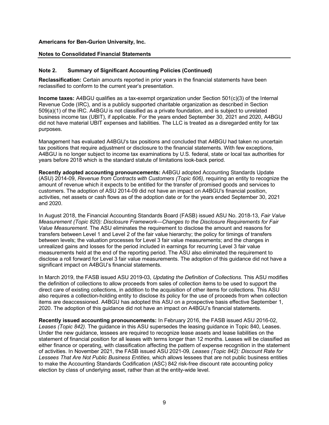### Notes to Consolidated Financial Statements

## Note 2. Summary of Significant Accounting Policies (Continued)

Reclassification: Certain amounts reported in prior years in the financial statements have been reclassified to conform to the current year's presentation.

Income taxes: A4BGU qualifies as a tax-exempt organization under Section 501(c)(3) of the Internal Revenue Code (IRC), and is a publicly supported charitable organization as described in Section 509(a)(1) of the IRC. A4BGU is not classified as a private foundation, and is subject to unrelated business income tax (UBIT), if applicable. For the years ended September 30, 2021 and 2020, A4BGU did not have material UBIT expenses and liabilities. The LLC is treated as a disregarded entity for tax purposes.

Management has evaluated A4BGU's tax positions and concluded that A4BGU had taken no uncertain tax positions that require adjustment or disclosure to the financial statements. With few exceptions, A4BGU is no longer subject to income tax examinations by U.S. federal, state or local tax authorities for years before 2018 which is the standard statute of limitations look-back period.

Recently adopted accounting pronouncements: A4BGU adopted Accounting Standards Update (ASU) 2014-09, Revenue from Contracts with Customers (Topic 606), requiring an entity to recognize the amount of revenue which it expects to be entitled for the transfer of promised goods and services to customers. The adoption of ASU 2014-09 did not have an impact on A4BGU's financial position, activities, net assets or cash flows as of the adoption date or for the years ended September 30, 2021 and 2020.

In August 2018, the Financial Accounting Standards Board (FASB) issued ASU No. 2018-13, Fair Value Measurement (Topic 820): Disclosure Framework—Changes to the Disclosure Requirements for Fair Value Measurement. The ASU eliminates the requirement to disclose the amount and reasons for transfers between Level 1 and Level 2 of the fair value hierarchy; the policy for timings of transfers between levels; the valuation processes for Level 3 fair value measurements; and the changes in unrealized gains and losses for the period included in earnings for recurring Level 3 fair value measurements held at the end of the reporting period. The ASU also eliminated the requirement to disclose a roll forward for Level 3 fair value measurements. The adoption of this guidance did not have a significant impact on A4BGU's financial statements.

In March 2019, the FASB issued ASU 2019-03, Updating the Definition of Collections. This ASU modifies the definition of collections to allow proceeds from sales of collection items to be used to support the direct care of existing collections, in addition to the acquisition of other items for collections. This ASU also requires a collection-holding entity to disclose its policy for the use of proceeds from when collection items are deaccessioned. A4BGU has adopted this ASU on a prospective basis effective September 1, 2020. The adoption of this guidance did not have an impact on A4BGU's financial statements.

Recently issued accounting pronouncements: In February 2016, the FASB issued ASU 2016-02, Leases (Topic 842). The guidance in this ASU supersedes the leasing guidance in Topic 840, Leases. Under the new guidance, lessees are required to recognize lease assets and lease liabilities on the statement of financial position for all leases with terms longer than 12 months. Leases will be classified as either finance or operating, with classification affecting the pattern of expense recognition in the statement of activities. In November 2021, the FASB issued ASU 2021-09, Leases (Topic 842): Discount Rate for Lessees That Are Not Public Business Entities, which allows lessees that are not public business entities to make the Accounting Standards Codification (ASC) 842 risk-free discount rate accounting policy election by class of underlying asset, rather than at the entity-wide level.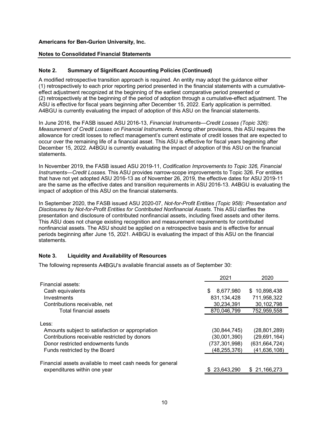## Notes to Consolidated Financial Statements

## Note 2. Summary of Significant Accounting Policies (Continued)

A modified retrospective transition approach is required. An entity may adopt the guidance either (1) retrospectively to each prior reporting period presented in the financial statements with a cumulativeeffect adjustment recognized at the beginning of the earliest comparative period presented or (2) retrospectively at the beginning of the period of adoption through a cumulative-effect adjustment. The ASU is effective for fiscal years beginning after December 15, 2022. Early application is permitted. A4BGU is currently evaluating the impact of adoption of this ASU on the financial statements.

In June 2016, the FASB issued ASU 2016-13, Financial Instruments—Credit Losses (Topic 326): Measurement of Credit Losses on Financial Instruments. Among other provisions, this ASU requires the allowance for credit losses to reflect management's current estimate of credit losses that are expected to occur over the remaining life of a financial asset. This ASU is effective for fiscal years beginning after December 15, 2022. A4BGU is currently evaluating the impact of adoption of this ASU on the financial statements.

In November 2019, the FASB issued ASU 2019-11, Codification Improvements to Topic 326, Financial Instruments—Credit Losses. This ASU provides narrow-scope improvements to Topic 326. For entities that have not yet adopted ASU 2016-13 as of November 26, 2019, the effective dates for ASU 2019-11 are the same as the effective dates and transition requirements in ASU 2016-13. A4BGU is evaluating the impact of adoption of this ASU on the financial statements.

In September 2020, the FASB issued ASU 2020-07, Not-for-Profit Entities (Topic 958): Presentation and Disclosures by Not-for-Profit Entities for Contributed Nonfinancial Assets. This ASU clarifies the presentation and disclosure of contributed nonfinancial assets, including fixed assets and other items. This ASU does not change existing recognition and measurement requirements for contributed nonfinancial assets. The ASU should be applied on a retrospective basis and is effective for annual periods beginning after June 15, 2021. A4BGU is evaluating the impact of this ASU on the financial statements.

## Note 3. Liquidity and Availability of Resources

The following represents A4BGU's available financial assets as of September 30:

|                                                           | 2021            | 2020            |
|-----------------------------------------------------------|-----------------|-----------------|
| Financial assets:                                         |                 |                 |
| Cash equivalents                                          | 8,677,980<br>S. | \$10,898,438    |
| Investments                                               | 831, 134, 428   | 711,958,322     |
| Contributions receivable, net                             | 30,234,391      | 30,102,798      |
| Total financial assets                                    | 870,046,799     | 752,959,558     |
| Less:                                                     |                 |                 |
| Amounts subject to satisfaction or appropriation          | (30, 844, 745)  | (28, 801, 289)  |
| Contributions receivable restricted by donors             | (30,001,390)    | (29, 691, 164)  |
| Donor restricted endowments funds                         | (737, 301, 998) | (631, 664, 724) |
| Funds restricted by the Board                             | (48,255,376)    | (41, 636, 108)  |
| Financial assets available to meet cash needs for general |                 |                 |
| expenditures within one year                              | \$23,643,290    | \$21,166,273    |
|                                                           |                 |                 |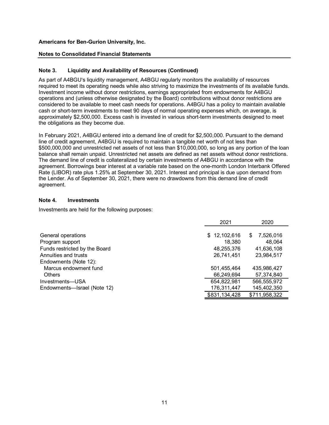#### Notes to Consolidated Financial Statements

## Note 3. Liquidity and Availability of Resources (Continued)

Americans for Ben-Gurion University, Inc.<br>
Notes to Consolidated Financial Statements<br>
Note 3. Liquidity and Availability of Resources (Continued)<br>
As part of A4BGU's liquidity management, A4BGU regularly monitors the avai required to meet its operating needs while also striving to maximize the investments of its available funds. Investment income without donor restrictions, earnings appropriated from endowments for A4BGU operations and (unless otherwise designated by the Board) contributions without donor restrictions are considered to be available to meet cash needs for operations. A4BGU has a policy to maintain available cash or short-term investments to meet 90 days of normal operating expenses which, on average, is approximately \$2,500,000. Excess cash is invested in various short-term investments designed to meet the obligations as they become due.

In February 2021, A4BGU entered into a demand line of credit for \$2,500,000. Pursuant to the demand line of credit agreement, A4BGU is required to maintain a tangible net worth of not less than \$500,000,000 and unrestricted net assets of not less than \$10,000,000, so long as any portion of the loan balance shall remain unpaid. Unrestricted net assets are defined as net assets without donor restrictions. The demand line of credit is collateralized by certain investments of A4BGU in accordance with the agreement. Borrowings bear interest at a variable rate based on the one-month London Interbank Offered Rate (LIBOR) rate plus 1.25% at September 30, 2021. Interest and principal is due upon demand from the Lender. As of September 30, 2021, there were no drawdowns from this demand line of credit agreement.

#### Note 4. Investments

Investments are held for the following purposes:

|                               | 2021          | 2020             |
|-------------------------------|---------------|------------------|
| General operations            | \$12,102,616  | 7,526,016<br>\$. |
| Program support               | 18,380        | 48.064           |
| Funds restricted by the Board | 48,255,376    | 41,636,108       |
| Annuities and trusts          | 26,741,451    | 23,984,517       |
| Endowments (Note 12):         |               |                  |
| Marcus endowment fund         | 501,455,464   | 435,986,427      |
| <b>Others</b>                 | 66,249,694    | 57,374,840       |
| Investments—USA               | 654,822,981   | 566,555,972      |
| Endowments-Israel (Note 12)   | 176,311,447   | 145,402,350      |
|                               | \$831,134,428 | \$711,958,322    |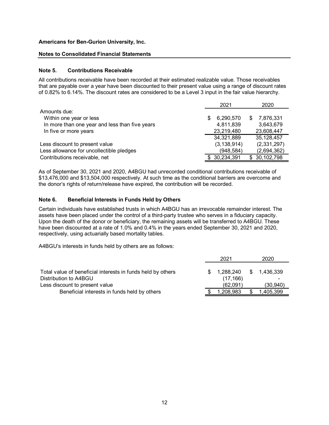#### Notes to Consolidated Financial Statements

#### Note 5. Contributions Receivable

|              | Americans for Ben-Gurion University, Inc.                                                                                                                                                                                                                                                                                                                                    |                         |     |                         |
|--------------|------------------------------------------------------------------------------------------------------------------------------------------------------------------------------------------------------------------------------------------------------------------------------------------------------------------------------------------------------------------------------|-------------------------|-----|-------------------------|
|              | <b>Notes to Consolidated Financial Statements</b>                                                                                                                                                                                                                                                                                                                            |                         |     |                         |
| Note 5.      | <b>Contributions Receivable</b>                                                                                                                                                                                                                                                                                                                                              |                         |     |                         |
|              | All contributions receivable have been recorded at their estimated realizable value. Those receivables<br>that are payable over a year have been discounted to their present value using a range of discount rates<br>of 0.82% to 6.14%. The discount rates are considered to be a Level 3 input in the fair value hierarchy.                                                |                         |     |                         |
|              |                                                                                                                                                                                                                                                                                                                                                                              | 2021                    |     | 2020                    |
| Amounts due: |                                                                                                                                                                                                                                                                                                                                                                              |                         |     |                         |
|              | Within one year or less                                                                                                                                                                                                                                                                                                                                                      | 6,290,570               |     | 7,876,331               |
|              | In more than one year and less than five years<br>In five or more years                                                                                                                                                                                                                                                                                                      | 4,811,839<br>23,219,480 |     | 3,643,679<br>23,608,447 |
|              |                                                                                                                                                                                                                                                                                                                                                                              | 34,321,889              |     | 35,128,457              |
|              | Less discount to present value                                                                                                                                                                                                                                                                                                                                               | (3, 138, 914)           |     | (2,331,297)             |
|              | Less allowance for uncollectible pledges                                                                                                                                                                                                                                                                                                                                     | (948, 584)              |     | (2,694,362)             |
|              | Contributions receivable, net                                                                                                                                                                                                                                                                                                                                                | 30,234,391              |     | \$30,102,798            |
| Note 6.      | As of September 30, 2021 and 2020, A4BGU had unrecorded conditional contributions receivable of<br>\$13,476,000 and \$13,504,000 respectively. At such time as the conditional barriers are overcome and<br>the donor's rights of return/release have expired, the contribution will be recorded.<br><b>Beneficial Interests in Funds Held by Others</b>                     |                         |     |                         |
|              | Certain individuals have established trusts in which A4BGU has an irrevocable remainder interest. The                                                                                                                                                                                                                                                                        |                         |     |                         |
|              | assets have been placed under the control of a third-party trustee who serves in a fiduciary capacity.<br>Upon the death of the donor or beneficiary, the remaining assets will be transferred to A4BGU. These<br>have been discounted at a rate of 1.0% and 0.4% in the years ended September 30, 2021 and 2020,<br>respectively, using actuarially based mortality tables. |                         |     |                         |
|              | A4BGU's interests in funds held by others are as follows:                                                                                                                                                                                                                                                                                                                    |                         |     |                         |
|              |                                                                                                                                                                                                                                                                                                                                                                              | 2021                    |     | 2020                    |
|              | Total value of beneficial interests in funds held by others<br>Distribution to A4BGU                                                                                                                                                                                                                                                                                         | 1,288,240<br>(17, 166)  | S.  | 1,436,339               |
|              | Less discount to present value                                                                                                                                                                                                                                                                                                                                               | (62,091)                |     | (30, 940)               |
|              | Beneficial interests in funds held by others                                                                                                                                                                                                                                                                                                                                 | .208,983                | \$. | 1,405,399               |

#### Note 6. Beneficial Interests in Funds Held by Others

| III IIVE UI IIIUIE VEAIS                                |                                                                                                                                                                                                                                                                                                                                                                                                                                           |    | 20,219,400                        |    | 20,000, <del>44</del> 7 |
|---------------------------------------------------------|-------------------------------------------------------------------------------------------------------------------------------------------------------------------------------------------------------------------------------------------------------------------------------------------------------------------------------------------------------------------------------------------------------------------------------------------|----|-----------------------------------|----|-------------------------|
|                                                         |                                                                                                                                                                                                                                                                                                                                                                                                                                           |    | 34,321,889                        |    | 35,128,457              |
| Less discount to present value                          |                                                                                                                                                                                                                                                                                                                                                                                                                                           |    | (3, 138, 914)                     |    | (2,331,297)             |
|                                                         | Less allowance for uncollectible pledges                                                                                                                                                                                                                                                                                                                                                                                                  |    | (948, 584)                        |    | (2,694,362)             |
| Contributions receivable, net                           |                                                                                                                                                                                                                                                                                                                                                                                                                                           |    | \$30,234,391                      |    | \$30,102,798            |
|                                                         | As of September 30, 2021 and 2020, A4BGU had unrecorded conditional contributions receivable of<br>\$13,476,000 and \$13,504,000 respectively. At such time as the conditional barriers are overcome and<br>the donor's rights of return/release have expired, the contribution will be recorded.                                                                                                                                         |    |                                   |    |                         |
| Note 6.                                                 | <b>Beneficial Interests in Funds Held by Others</b>                                                                                                                                                                                                                                                                                                                                                                                       |    |                                   |    |                         |
|                                                         | Certain individuals have established trusts in which A4BGU has an irrevocable remainder interest. The                                                                                                                                                                                                                                                                                                                                     |    |                                   |    |                         |
|                                                         | assets have been placed under the control of a third-party trustee who serves in a fiduciary capacity.<br>Upon the death of the donor or beneficiary, the remaining assets will be transferred to A4BGU. These<br>have been discounted at a rate of 1.0% and 0.4% in the years ended September 30, 2021 and 2020,<br>respectively, using actuarially based mortality tables.<br>A4BGU's interests in funds held by others are as follows: |    |                                   |    |                         |
|                                                         |                                                                                                                                                                                                                                                                                                                                                                                                                                           |    | 2021                              |    | 2020                    |
| Distribution to A4BGU<br>Less discount to present value | Total value of beneficial interests in funds held by others                                                                                                                                                                                                                                                                                                                                                                               | S. | 1,288,240<br>(17,166)<br>(62,091) | Ж. | 1,436,339<br>(30, 940)  |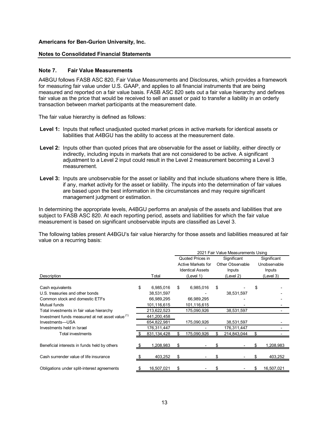#### Notes to Consolidated Financial Statements

#### Note 7. Fair Value Measurements

A4BGU follows FASB ASC 820, Fair Value Measurements and Disclosures, which provides a framework for measuring fair value under U.S. GAAP, and applies to all financial instruments that are being measured and reported on a fair value basis. FASB ASC 820 sets out a fair value hierarchy and defines fair value as the price that would be received to sell an asset or paid to transfer a liability in an orderly transaction between market participants at the measurement date.

The fair value hierarchy is defined as follows:

- Level 1: Inputs that reflect unadjusted quoted market prices in active markets for identical assets or liabilities that A4BGU has the ability to access at the measurement date.
- Level 2: Inputs other than quoted prices that are observable for the asset or liability, either directly or indirectly, including inputs in markets that are not considered to be active. A significant adjustment to a Level 2 input could result in the Level 2 measurement becoming a Level 3 measurement.
- Level 3: Inputs are unobservable for the asset or liability and that include situations where there is little, if any, market activity for the asset or liability. The inputs into the determination of fair values are based upon the best information in the circumstances and may require significant management judgment or estimation.

|                  | Level 1: Inputs that reflect unadjusted quoted market prices in active markets for identical assets or<br>liabilities that A4BGU has the ability to access at the measurement date.                                                                                                                                                                  |               |      |                           |      |                                    |              |
|------------------|------------------------------------------------------------------------------------------------------------------------------------------------------------------------------------------------------------------------------------------------------------------------------------------------------------------------------------------------------|---------------|------|---------------------------|------|------------------------------------|--------------|
|                  | <b>Level 2:</b> Inputs other than quoted prices that are observable for the asset or liability, either directly or<br>indirectly, including inputs in markets that are not considered to be active. A significant<br>adjustment to a Level 2 input could result in the Level 2 measurement becoming a Level 3<br>measurement.                        |               |      |                           |      |                                    |              |
|                  | Level 3: Inputs are unobservable for the asset or liability and that include situations where there is little,<br>if any, market activity for the asset or liability. The inputs into the determination of fair values<br>are based upon the best information in the circumstances and may require significant<br>management judgment or estimation. |               |      |                           |      |                                    |              |
|                  | In determining the appropriate levels, A4BGU performs an analysis of the assets and liabilities that are<br>subject to FASB ASC 820. At each reporting period, assets and liabilities for which the fair value<br>measurement is based on significant unobservable inputs are classified as Level 3.                                                 |               |      |                           |      |                                    |              |
|                  | The following tables present A4BGU's fair value hierarchy for those assets and liabilities measured at fair<br>value on a recurring basis:                                                                                                                                                                                                           |               |      |                           |      |                                    |              |
|                  |                                                                                                                                                                                                                                                                                                                                                      |               |      |                           |      | 2021 Fair Value Measurements Using |              |
|                  |                                                                                                                                                                                                                                                                                                                                                      |               |      |                           |      |                                    |              |
|                  |                                                                                                                                                                                                                                                                                                                                                      |               |      | Quoted Prices in          |      | Significant                        | Significant  |
|                  |                                                                                                                                                                                                                                                                                                                                                      |               |      | <b>Active Markets for</b> |      | Other Observable                   | Unobservable |
|                  |                                                                                                                                                                                                                                                                                                                                                      |               |      | <b>Identical Assets</b>   |      | Inputs                             | Inputs       |
| Description      |                                                                                                                                                                                                                                                                                                                                                      | Total         |      | (Level 1)                 |      | (Level 2)                          | (Level 3)    |
|                  |                                                                                                                                                                                                                                                                                                                                                      |               |      |                           |      |                                    |              |
| Cash equivalents |                                                                                                                                                                                                                                                                                                                                                      | 6,985,016     | - \$ | 6,985,016                 | - \$ |                                    |              |
|                  | U.S. treasuries and other bonds                                                                                                                                                                                                                                                                                                                      | 38,531,597    |      |                           |      | 38,531,597                         |              |
|                  | Common stock and domestic ETFs                                                                                                                                                                                                                                                                                                                       | 66,989,295    |      | 66,989,295                |      |                                    |              |
| Mutual funds     |                                                                                                                                                                                                                                                                                                                                                      | 101,116,615   |      | 101,116,615               |      |                                    |              |
|                  | Total investments in fair value hierarchy                                                                                                                                                                                                                                                                                                            | 213,622,523   |      | 175,090,926               |      | 38,531,597                         |              |
|                  | Investment funds measured at net asset value <sup>(1)</sup>                                                                                                                                                                                                                                                                                          | 441,200,458   |      |                           |      |                                    |              |
| Investments-USA  |                                                                                                                                                                                                                                                                                                                                                      | 654,822,981   |      | 175,090,926               |      | 38,531,597                         |              |
|                  | Investments held in Israel                                                                                                                                                                                                                                                                                                                           | 176,311,447   |      |                           |      | 176,311,447                        |              |
|                  | Total investments                                                                                                                                                                                                                                                                                                                                    | 831,134,428   |      | 175,090,926               |      | 214,843,044                        | \$           |
|                  | Beneficial interests in funds held by others                                                                                                                                                                                                                                                                                                         | .208,983      |      |                           |      |                                    | 1,208,983    |
|                  | Cash surrender value of life insurance                                                                                                                                                                                                                                                                                                               | \$<br>403,252 | - \$ |                           | \$   |                                    | 403,252      |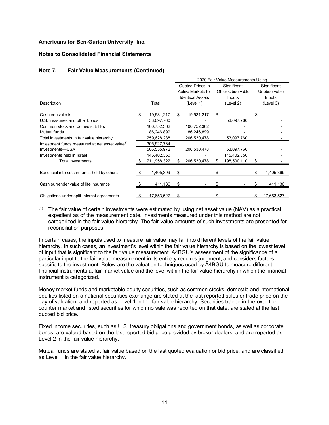#### Notes to Consolidated Financial Statements

## Note 7. Fair Value Measurements (Continued)

| Americans for Ben-Gurion University, Inc.<br><b>Notes to Consolidated Financial Statements</b> |                                |    |                         |    |                                    |     |              |
|------------------------------------------------------------------------------------------------|--------------------------------|----|-------------------------|----|------------------------------------|-----|--------------|
|                                                                                                |                                |    |                         |    |                                    |     |              |
|                                                                                                |                                |    |                         |    |                                    |     |              |
|                                                                                                |                                |    |                         |    |                                    |     |              |
|                                                                                                |                                |    |                         |    |                                    |     |              |
|                                                                                                |                                |    |                         |    |                                    |     |              |
|                                                                                                |                                |    |                         |    |                                    |     |              |
|                                                                                                |                                |    |                         |    |                                    |     |              |
|                                                                                                |                                |    |                         |    |                                    |     |              |
|                                                                                                |                                |    |                         |    |                                    |     |              |
|                                                                                                |                                |    |                         |    |                                    |     |              |
| Note 7.<br><b>Fair Value Measurements (Continued)</b>                                          |                                |    |                         |    |                                    |     |              |
|                                                                                                |                                |    |                         |    | 2020 Fair Value Measurements Using |     |              |
|                                                                                                |                                |    | Quoted Prices in        |    | Significant                        |     | Significant  |
|                                                                                                |                                |    | Active Markets for      |    | Other Observable                   |     | Unobservable |
|                                                                                                |                                |    | <b>Identical Assets</b> |    | Inputs                             |     | Inputs       |
| Description                                                                                    | Total                          |    | (Level 1)               |    | (Level 2)                          |     | (Level 3)    |
|                                                                                                |                                | \$ | 19,531,217              | \$ |                                    | \$  |              |
|                                                                                                |                                |    |                         |    |                                    |     |              |
| Cash equivalents<br>U.S. treasuries and other bonds                                            | \$<br>19,531,217<br>53,097,760 |    |                         |    |                                    |     |              |
| Common stock and domestic ETFs                                                                 | 100,752,362                    |    | 100,752,362             |    | 53,097,760                         |     |              |
| Mutual funds                                                                                   | 86,246,899                     |    | 86,246,899              |    |                                    |     |              |
| Total investments in fair value hierarchy                                                      | 259,628,238                    |    | 206,530,478             |    | 53,097,760                         |     |              |
| Investment funds measured at net asset value <sup>(1)</sup>                                    | 306,927,734                    |    |                         |    |                                    |     |              |
| Investments-USA                                                                                | 566,555,972                    |    | 206,530,478             |    | 53,097,760                         |     |              |
| Investments held in Israel                                                                     | 145,402,350                    |    |                         |    | 145,402,350                        |     |              |
| Total investments                                                                              | 711,958,322                    |    | 206,530,478             |    | 198,500,110                        | \$  |              |
| Beneficial interests in funds held by others                                                   | 1,405,399                      | .ፍ |                         |    |                                    | \$. | 1,405,399    |
| Cash surrender value of life insurance                                                         | \$<br>411,136                  | \$ |                         | £. |                                    |     | 411,136      |

#### $(1)$  The fair value of certain investments were estimated by using net asset value (NAV) as a practical expedient as of the measurement date. Investments measured under this method are not categorized in the fair value hierarchy. The fair value amounts of such investments are presented for reconciliation purposes.

In certain cases, the inputs used to measure fair value may fall into different levels of the fair value hierarchy. In such cases, an investment's level within the fair value hierarchy is based on the lowest level of input that is significant to the fair value measurement. A4BGU's assessment of the significance of a particular input to the fair value measurement in its entirety requires judgment, and considers factors specific to the investment. Below are the valuation techniques used by A4BGU to measure different financial instruments at fair market value and the level within the fair value hierarchy in which the financial instrument is categorized.

Money market funds and marketable equity securities, such as common stocks, domestic and international equities listed on a national securities exchange are stated at the last reported sales or trade price on the day of valuation, and reported as Level 1 in the fair value hierarchy. Securities traded in the over-thecounter market and listed securities for which no sale was reported on that date, are stated at the last quoted bid price.

Fixed income securities, such as U.S. treasury obligations and government bonds, as well as corporate bonds, are valued based on the last reported bid price provided by broker-dealers, and are reported as Level 2 in the fair value hierarchy.

Mutual funds are stated at fair value based on the last quoted evaluation or bid price, and are classified as Level 1 in the fair value hierarchy.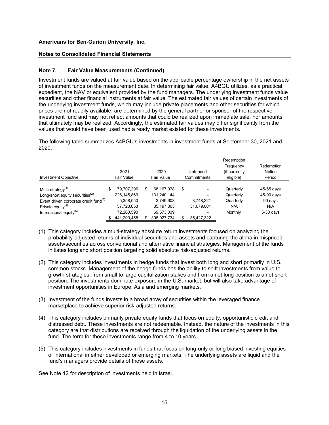## Notes to Consolidated Financial Statements

## Note 7. Fair Value Measurements (Continued)

Investment funds are valued at fair value based on the applicable percentage ownership in the net assets of investment funds on the measurement date. In determining fair value, A4BGU utilizes, as a practical expedient, the NAV or equivalent provided by the fund managers. The underlying investment funds value securities and other financial instruments at fair value. The estimated fair values of certain investments of the underlying investment funds, which may include private placements and other securities for which prices are not readily available, are determined by the general partner or sponsor of the respective investment fund and may not reflect amounts that could be realized upon immediate sale, nor amounts that ultimately may be realized. Accordingly, the estimated fair values may differ significantly from the values that would have been used had a ready market existed for these investments. by the metallical comparation where the server of certain investments of<br>the recentries for certain investments of<br>the recentries for which<br>pass of differency respective<br>ediate sale, nor amounts<br>er significantly from the<br>m **Example 12021**<br>
2021 27480809 113240.144<br>
274908 2744809 114144<br>
2022 2742688<br>
2022 274268 2114144<br>
2022 274288 2114240.144<br>
2022 274288 2114240.144<br>
2022 274288 2114240.144<br>
2022 274288 2114240.144<br>
2022 274288 2114240.1 **Americans for Ben-Gurion University, Inc.**<br> **Notes to Consolidated Financial Statements** (Continued)<br>
Investment funds are valued at fair value based on the applicable percentage ownership in the net assets<br>
fin westment

| <b>Notes to Consolidated Financial Statements</b>                                                         |                                                        |                                            |                                                       |                                                                                                                                                                                                                                                                                                                                                                                                                                                                                                                                                                                                                                                                                                                                                                                                                                                                                                                                                                                                                                                                            |
|-----------------------------------------------------------------------------------------------------------|--------------------------------------------------------|--------------------------------------------|-------------------------------------------------------|----------------------------------------------------------------------------------------------------------------------------------------------------------------------------------------------------------------------------------------------------------------------------------------------------------------------------------------------------------------------------------------------------------------------------------------------------------------------------------------------------------------------------------------------------------------------------------------------------------------------------------------------------------------------------------------------------------------------------------------------------------------------------------------------------------------------------------------------------------------------------------------------------------------------------------------------------------------------------------------------------------------------------------------------------------------------------|
|                                                                                                           |                                                        |                                            |                                                       |                                                                                                                                                                                                                                                                                                                                                                                                                                                                                                                                                                                                                                                                                                                                                                                                                                                                                                                                                                                                                                                                            |
|                                                                                                           |                                                        |                                            |                                                       |                                                                                                                                                                                                                                                                                                                                                                                                                                                                                                                                                                                                                                                                                                                                                                                                                                                                                                                                                                                                                                                                            |
| 2021<br>Fair Value                                                                                        | 2020<br><b>Fair Value</b>                              | Unfunded<br>Commitments                    | Redemption<br>Frequency<br>(if currently<br>eligible) | Redemption<br>Notice<br>Period                                                                                                                                                                                                                                                                                                                                                                                                                                                                                                                                                                                                                                                                                                                                                                                                                                                                                                                                                                                                                                             |
| 79,707,296<br>226,145,869<br>5,358,050<br>Event driven corporate credit fund <sup>(3)</sup><br>57,728,653 | 68,167,078<br>131,240,144<br>2,749,608<br>35, 197, 865 | - \$<br>3,748,321<br>31,679,001            | Quarterly<br>Quarterly<br>Quarterly<br>N/A            | 45-65 days<br>45-90 days<br>90 days<br>N/A                                                                                                                                                                                                                                                                                                                                                                                                                                                                                                                                                                                                                                                                                                                                                                                                                                                                                                                                                                                                                                 |
|                                                                                                           |                                                        | <b>Fair Value Measurements (Continued)</b> |                                                       | Investment funds are valued at fair value based on the applicable percentage ownership in the net assets<br>of investment funds on the measurement date. In determining fair value, A4BGU utilizes, as a practical<br>expedient, the NAV or equivalent provided by the fund managers. The underlying investment funds value<br>securities and other financial instruments at fair value. The estimated fair values of certain investments of<br>the underlying investment funds, which may include private placements and other securities for which<br>prices are not readily available, are determined by the general partner or sponsor of the respective<br>investment fund and may not reflect amounts that could be realized upon immediate sale, nor amounts<br>that ultimately may be realized. Accordingly, the estimated fair values may differ significantly from the<br>values that would have been used had a ready market existed for these investments.<br>The following table summarizes A4BGU's investments in investment funds at September 30, 2021 and |

- (1) This category includes a multi-strategy absolute return investments focused on analyzing the probability-adjusted returns of individual securities and assets and capturing the alpha in mispriced assets/securities across conventional and alternative financial strategies. Management of the funds initiates long and short position targeting solid absolute risk-adjusted returns.
- (2) This category includes investments in hedge funds that invest both long and short primarily in U.S. common stocks. Management of the hedge funds has the ability to shift investments from value to growth strategies, from small to large capitalization stakes and from a net long position to a net short position. The investments dominate exposure in the U.S. market, but will also take advantage of investment opportunities in Europe, Asia and emerging markets.
- (3) Investment of the funds invests in a broad array of securities within the leveraged finance marketplace to achieve superior risk-adjusted returns.
- (4) This category includes primarily private equity funds that focus on equity, opportunistic credit and distressed debt. These investments are not redeemable. Instead, the nature of the investments in this category are that distributions are received through the liquidation of the underlying assets in the fund. The term for these investments range from 4 to 10 years.
- (5) This category includes investments in funds that focus on long-only or long biased investing equities of international in either developed or emerging markets. The underlying assets are liquid and the fund's managers provide details of those assets.

See Note 12 for description of investments held in Israel.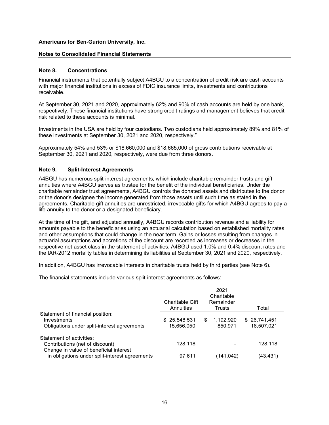#### Notes to Consolidated Financial Statements

#### Note 8. Concentrations

Financial instruments that potentially subject A4BGU to a concentration of credit risk are cash accounts with major financial institutions in excess of FDIC insurance limits, investments and contributions receivable.

At September 30, 2021 and 2020, approximately 62% and 90% of cash accounts are held by one bank, respectively. These financial institutions have strong credit ratings and management believes that credit risk related to these accounts is minimal.

Investments in the USA are held by four custodians. Two custodians held approximately 89% and 81% of these investments at September 30, 2021 and 2020, respectively."

Approximately 54% and 53% or \$18,660,000 and \$18,665,000 of gross contributions receivable at September 30, 2021 and 2020, respectively, were due from three donors.

#### Note 9. Split-Interest Agreements

| Note 9.<br><b>Split-Interest Agreements</b>                                                                                                                                                                                                                                                                                                                                                                                                                                                                                                                                                                                                                                                                                                                                                                                                        |                              |                                   |                            |
|----------------------------------------------------------------------------------------------------------------------------------------------------------------------------------------------------------------------------------------------------------------------------------------------------------------------------------------------------------------------------------------------------------------------------------------------------------------------------------------------------------------------------------------------------------------------------------------------------------------------------------------------------------------------------------------------------------------------------------------------------------------------------------------------------------------------------------------------------|------------------------------|-----------------------------------|----------------------------|
| A4BGU has numerous split-interest agreements, which include charitable remainder trusts and gift<br>annuities where A4BGU serves as trustee for the benefit of the individual beneficiaries. Under the<br>charitable remainder trust agreements, A4BGU controls the donated assets and distributes to the donor<br>or the donor's designee the income generated from those assets until such time as stated in the<br>agreements. Charitable gift annuities are unrestricted, irrevocable gifts for which A4BGU agrees to pay a<br>life annuity to the donor or a designated beneficiary.                                                                                                                                                                                                                                                          |                              |                                   |                            |
| At the time of the gift, and adjusted annually, A4BGU records contribution revenue and a liability for<br>amounts payable to the beneficiaries using an actuarial calculation based on established mortality rates<br>and other assumptions that could change in the near term. Gains or losses resulting from changes in<br>actuarial assumptions and accretions of the discount are recorded as increases or decreases in the<br>respective net asset class in the statement of activities. A4BGU used 1.0% and 0.4% discount rates and<br>the IAR-2012 mortality tables in determining its liabilities at September 30, 2021 and 2020, respectively.<br>In addition, A4BGU has irrevocable interests in charitable trusts held by third parties (see Note 6).<br>The financial statements include various split-interest agreements as follows: |                              |                                   |                            |
|                                                                                                                                                                                                                                                                                                                                                                                                                                                                                                                                                                                                                                                                                                                                                                                                                                                    |                              | 2021                              |                            |
|                                                                                                                                                                                                                                                                                                                                                                                                                                                                                                                                                                                                                                                                                                                                                                                                                                                    | Charitable Gift<br>Annuities | Charitable<br>Remainder<br>Trusts | Total                      |
| Statement of financial position:<br>Investments<br>Obligations under split-interest agreements                                                                                                                                                                                                                                                                                                                                                                                                                                                                                                                                                                                                                                                                                                                                                     | \$25,548,531<br>15,656,050   | 1,192,920<br>\$<br>850,971        | \$26,741,451<br>16,507,021 |
| Statement of activities:<br>Contributions (net of discount)<br>Change in value of beneficial interest                                                                                                                                                                                                                                                                                                                                                                                                                                                                                                                                                                                                                                                                                                                                              | 128,118                      |                                   | 128,118                    |
| in obligations under split-interest agreements                                                                                                                                                                                                                                                                                                                                                                                                                                                                                                                                                                                                                                                                                                                                                                                                     | 97,611                       | (141, 042)                        | (43, 431)                  |
|                                                                                                                                                                                                                                                                                                                                                                                                                                                                                                                                                                                                                                                                                                                                                                                                                                                    |                              |                                   |                            |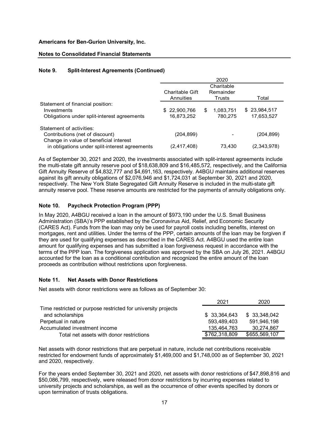### Notes to Consolidated Financial Statements

## Note 9. Split-Interest Agreements (Continued)

| Americans for Ben-Gurion University, Inc.                                 |                            |                            |                            |
|---------------------------------------------------------------------------|----------------------------|----------------------------|----------------------------|
| <b>Notes to Consolidated Financial Statements</b>                         |                            |                            |                            |
|                                                                           |                            |                            |                            |
| Note 9.<br><b>Split-Interest Agreements (Continued)</b>                   |                            |                            |                            |
|                                                                           |                            | 2020                       |                            |
|                                                                           | <b>Charitable Gift</b>     | Charitable<br>Remainder    |                            |
|                                                                           | Annuities                  | Trusts                     | Total                      |
| Statement of financial position:                                          |                            |                            |                            |
| Investments<br>Obligations under split-interest agreements                | \$22,900,766<br>16,873,252 | 1,083,751<br>\$<br>780,275 | \$23,984,517<br>17,653,527 |
|                                                                           |                            |                            |                            |
|                                                                           |                            |                            |                            |
| Statement of activities:                                                  |                            |                            |                            |
| Contributions (net of discount)<br>Change in value of beneficial interest | (204, 899)                 |                            | (204, 899)                 |

As of September 30, 2021 and 2020, the investments associated with split-interest agreements include the multi-state gift annuity reserve pool of \$18,638,809 and \$16,485,572, respectively, and the California Gift Annuity Reserve of \$4,832,777 and \$4,691,163, respectively. A4BGU maintains additional reserves against its gift annuity obligations of \$2,076,946 and \$1,724,031 at September 30, 2021 and 2020, respectively. The New York State Segregated Gift Annuity Reserve is included in the multi-state gift annuity reserve pool. These reserve amounts are restricted for the payments of annuity obligations only.

## Note 10. Paycheck Protection Program (PPP)

In May 2020, A4BGU received a loan in the amount of \$973,190 under the U.S. Small Business Administration (SBA)'s PPP established by the Coronavirus Aid, Relief, and Economic Security (CARES Act). Funds from the loan may only be used for payroll costs including benefits, interest on mortgages, rent and utilities. Under the terms of the PPP, certain amounts of the loan may be forgiven if they are used for qualifying expenses as described in the CARES Act. A4BGU used the entire loan amount for qualifying expenses and has submitted a loan forgiveness request in accordance with the terms of the PPP loan. The forgiveness application was approved by the SBA on July 26, 2021. A4BGU accounted for the loan as a conditional contribution and recognized the entire amount of the loan proceeds as contribution without restrictions upon forgiveness. spectively, and the California<br>maintains additional reserves<br>ber 30, 2021 and 2020,<br>ts of annuity obligations only.<br>The solution of annuity obligations only.<br>U.S. Small Business<br>Economic Security<br>ding benefits, interest on

#### Note 11. Net Assets with Donor Restrictions

Net assets with donor restrictions were as follows as of September 30:

|                                                               | 2021          | 2020          |
|---------------------------------------------------------------|---------------|---------------|
| Time restricted or purpose restricted for university projects |               |               |
| and scholarships                                              | \$33,364,643  | \$ 33,348,042 |
| Perpetual in nature                                           | 593.489.403   | 591,946,198   |
| Accumulated investment income                                 | 135.464.763   | 30,274,867    |
| Total net assets with donor restrictions                      | \$762,318,809 | \$655,569,107 |

Net assets with donor restrictions that are perpetual in nature, include net contributions receivable restricted for endowment funds of approximately \$1,469,000 and \$1,748,000 as of September 30, 2021 and 2020, respectively.

For the years ended September 30, 2021 and 2020, net assets with donor restrictions of \$47,898,816 and \$50,086,799, respectively, were released from donor restrictions by incurring expenses related to university projects and scholarships, as well as the occurrence of other events specified by donors or upon termination of trusts obligations.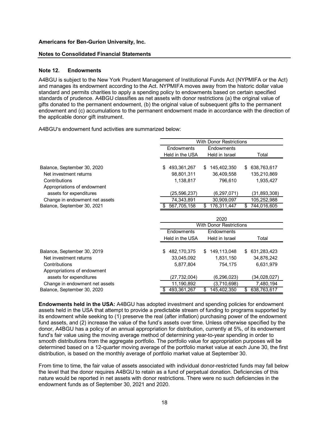#### Notes to Consolidated Financial Statements

#### Note 12. Endowments

| <b>Americans for Ben-Gurion University, Inc.</b>                                                                                                                                                                                                                                                                                                                                                                                                                                                                                                                                                                                                                                   |                 |                                |                            |
|------------------------------------------------------------------------------------------------------------------------------------------------------------------------------------------------------------------------------------------------------------------------------------------------------------------------------------------------------------------------------------------------------------------------------------------------------------------------------------------------------------------------------------------------------------------------------------------------------------------------------------------------------------------------------------|-----------------|--------------------------------|----------------------------|
| <b>Notes to Consolidated Financial Statements</b>                                                                                                                                                                                                                                                                                                                                                                                                                                                                                                                                                                                                                                  |                 |                                |                            |
| <b>Note 12.</b><br><b>Endowments</b>                                                                                                                                                                                                                                                                                                                                                                                                                                                                                                                                                                                                                                               |                 |                                |                            |
| (A4BGU is subject to the New York Prudent Management of Institutional Funds Act (NYPMIFA or the Act<br>and manages its endowment according to the Act. NYPMIFA moves away from the historic dollar value<br>standard and permits charities to apply a spending policy to endowments based on certain specified<br>standards of prudence. A4BGU classifies as net assets with donor restrictions (a) the original value of<br>gifts donated to the permanent endowment, (b) the original value of subsequent gifts to the permanent<br>endowment and (c) accumulations to the permanent endowment made in accordance with the direction of<br>the applicable donor gift instrument. |                 |                                |                            |
| A4BGU's endowment fund activities are summarized below:                                                                                                                                                                                                                                                                                                                                                                                                                                                                                                                                                                                                                            |                 |                                |                            |
|                                                                                                                                                                                                                                                                                                                                                                                                                                                                                                                                                                                                                                                                                    |                 | <b>With Donor Restrictions</b> |                            |
|                                                                                                                                                                                                                                                                                                                                                                                                                                                                                                                                                                                                                                                                                    | Endowments      | Endowments                     |                            |
|                                                                                                                                                                                                                                                                                                                                                                                                                                                                                                                                                                                                                                                                                    | Held in the USA | Held in Israel                 | Total                      |
| Balance, September 30, 2020                                                                                                                                                                                                                                                                                                                                                                                                                                                                                                                                                                                                                                                        | \$493,361,267   | \$145,402,350                  | \$ 638,763,617             |
| Net investment returns                                                                                                                                                                                                                                                                                                                                                                                                                                                                                                                                                                                                                                                             | 98,801,311      | 36,409,558                     | 135,210,869                |
| Contributions                                                                                                                                                                                                                                                                                                                                                                                                                                                                                                                                                                                                                                                                      | 1,138,817       | 796,610                        | 1,935,427                  |
| Appropriations of endowment                                                                                                                                                                                                                                                                                                                                                                                                                                                                                                                                                                                                                                                        |                 |                                |                            |
| assets for expenditures                                                                                                                                                                                                                                                                                                                                                                                                                                                                                                                                                                                                                                                            | (25, 596, 237)  | (6, 297, 071)                  | (31,893,308)               |
| Change in endowment net assets                                                                                                                                                                                                                                                                                                                                                                                                                                                                                                                                                                                                                                                     | 74,343,891      | 30,909,097                     | 105,252,988                |
| Balance, September 30, 2021                                                                                                                                                                                                                                                                                                                                                                                                                                                                                                                                                                                                                                                        | \$567,705,158   | \$176,311,447                  | \$744,016,605              |
|                                                                                                                                                                                                                                                                                                                                                                                                                                                                                                                                                                                                                                                                                    |                 | 2020                           |                            |
|                                                                                                                                                                                                                                                                                                                                                                                                                                                                                                                                                                                                                                                                                    |                 | <b>With Donor Restrictions</b> |                            |
|                                                                                                                                                                                                                                                                                                                                                                                                                                                                                                                                                                                                                                                                                    | Endowments      | Endowments                     |                            |
|                                                                                                                                                                                                                                                                                                                                                                                                                                                                                                                                                                                                                                                                                    | Held in the USA | Held in Israel                 | Total                      |
|                                                                                                                                                                                                                                                                                                                                                                                                                                                                                                                                                                                                                                                                                    | \$482,170,375   | \$149,113,048                  | \$ 631,283,423             |
|                                                                                                                                                                                                                                                                                                                                                                                                                                                                                                                                                                                                                                                                                    | 33,045,092      | 1,831,150                      | 34,876,242                 |
| Balance, September 30, 2019<br>Net investment returns                                                                                                                                                                                                                                                                                                                                                                                                                                                                                                                                                                                                                              |                 | 754,175                        | 6,631,979                  |
| Contributions                                                                                                                                                                                                                                                                                                                                                                                                                                                                                                                                                                                                                                                                      | 5,877,804       |                                |                            |
| Appropriations of endowment                                                                                                                                                                                                                                                                                                                                                                                                                                                                                                                                                                                                                                                        |                 |                                |                            |
| assets for expenditures                                                                                                                                                                                                                                                                                                                                                                                                                                                                                                                                                                                                                                                            | (27, 732, 004)  | (6, 296, 023)                  | (34, 028, 027)             |
| Change in endowment net assets<br>Balance, September 30, 2020                                                                                                                                                                                                                                                                                                                                                                                                                                                                                                                                                                                                                      | 11,190,892      | (3,710,698)                    | 7,480,194<br>\$638,763,617 |

Endowments held in the USA: A4BGU has adopted investment and spending policies for endowment assets held in the USA that attempt to provide a predictable stream of funding to programs supported by its endowment while seeking to (1) preserve the real (after inflation) purchasing power of the endowment fund assets, and (2) increase the value of the fund's assets over time. Unless otherwise specified by the donor, A4BGU has a policy of an annual appropriation for distribution, currently at 5%, of its endowment fund's fair value using the moving average method of determining year-to-year spending in order to smooth distributions from the aggregate portfolio. The portfolio value for appropriation purposes will be determined based on a 12-quarter moving average of the portfolio market value at each June 30, the first distribution, is based on the monthly average of portfolio market value at September 30.

From time to time, the fair value of assets associated with individual donor-restricted funds may fall below the level that the donor requires A4BGU to retain as a fund of perpetual donation. Deficiencies of this nature would be reported in net assets with donor restrictions. There were no such deficiencies in the endowment funds as of September 30, 2021 and 2020.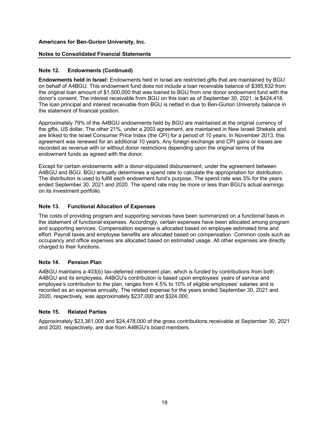### Notes to Consolidated Financial Statements

## Note 12. Endowments (Continued)

Endowments held in Israel: Endowments held in Israel are restricted gifts that are maintained by BGU on behalf of A4BGU. This endowment fund does not include a loan receivable balance of \$385,632 from the original loan amount of \$1,500,000 that was loaned to BGU from one donor endowment fund with the donor's consent. The interest receivable from BGU on this loan as of September 30, 2021, is \$424,418. The loan principal and interest receivable from BGU is netted in due to Ben-Gurion University balance in the statement of financial position.

Approximately 79% of the A4BGU endowments held by BGU are maintained at the original currency of the gifts, US dollar. The other 21%, under a 2003 agreement, are maintained in New Israeli Shekels and are linked to the Israel Consumer Price Index (the CPI) for a period of 10 years. In November 2013, this agreement was renewed for an additional 10 years. Any foreign exchange and CPI gains or losses are recorded as revenue with or without donor restrictions depending upon the original terms of the endowment funds as agreed with the donor.

Except for certain endowments with a donor-stipulated disbursement, under the agreement between A4BGU and BGU, BGU annually determines a spend rate to calculate the appropriation for distribution. The distribution is used to fulfill each endowment fund's purpose. The spend rate was 3% for the years ended September 30, 2021 and 2020. The spend rate may be more or less than BGU's actual earnings on its investment portfolio.

## Note 13. Functional Allocation of Expenses

The costs of providing program and supporting services have been summarized on a functional basis in the statement of functional expenses. Accordingly, certain expenses have been allocated among program and supporting services. Compensation expense is allocated based on employee estimated time and effort. Payroll taxes and employee benefits are allocated based on compensation. Common costs such as occupancy and office expenses are allocated based on estimated usage. All other expenses are directly charged to their functions.

#### Note 14. Pension Plan

A4BGU maintains a 403(b) tax-deferred retirement plan, which is funded by contributions from both A4BGU and its employees. A4BGU's contribution is based upon employees' years of service and employee's contribution to the plan, ranges from 4.5% to 10% of eligible employees' salaries and is recorded as an expense annually. The related expense for the years ended September 30, 2021 and 2020, respectively, was approximately \$237,000 and \$324,000.

#### Note 15. Related Parties

Approximately \$23,361,000 and \$24,478,000 of the gross contributions receivable at September 30, 2021 and 2020, respectively, are due from A4BGU's board members.